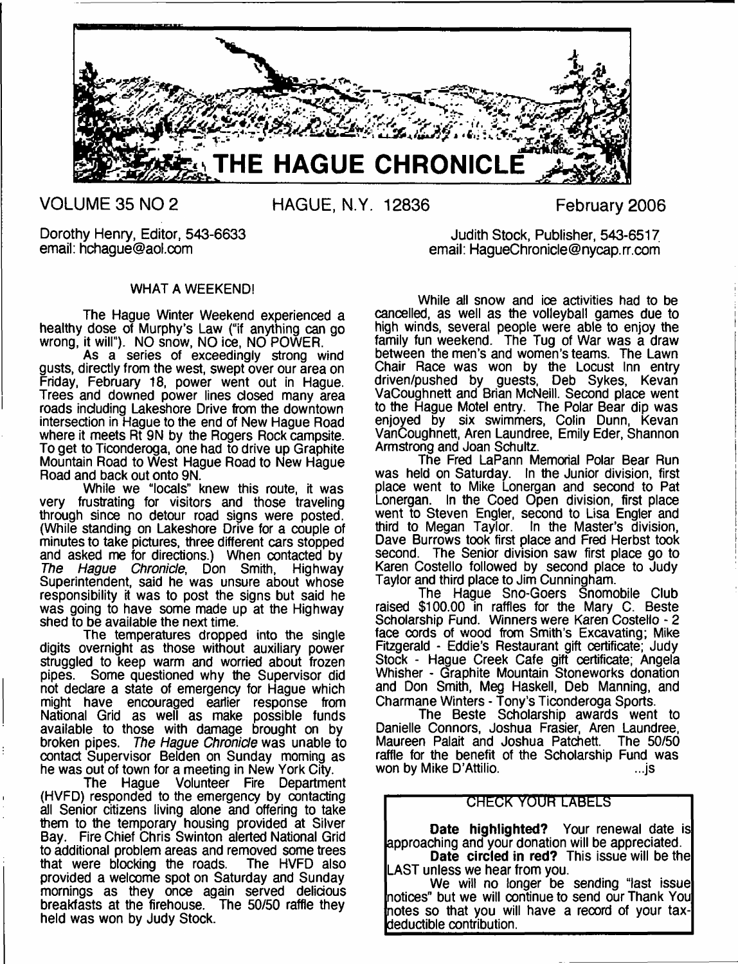

**VOLUME 35 NO 2 HAGUE, N.Y. 12836 February 2006**

### Dorothy Henry, Editor, 543-6633 Judith Stock, Publisher, 543-6517<br>email: hchaque@aol.com and the store of the email: HaqueChronicle@nycap.rr.com email: HaqueChronicle@nycap.rr.com

### WHAT A WEEKEND!

The Hague Winter Weekend experienced a healthy dose of Murphy's Law ("if anything can go wrong, it will"). NO snow, NO ice, NO POWER.

As a series of exceedingly strong wind gusts, directly from the west, swept over our area on Friday, February 18, power went out in Hague. Trees and downed power lines closed many area roads including Lakeshore Drive from the downtown intersection in Hague to the end of New Hague Road where it meets Rt 9N by the Rogers Rock campsite. To get to Ticonderoga, one had to drive up Graphite Mountain Road to West Hague Road to New Hague Road and back out onto 9N.

While we "locals" knew this route, it was very frustrating for visitors and those traveling through since no detour road signs were posted. (While standing on Lakeshore Drive for a couple of minutes to take pictures, three different cars stopped and asked me for directions.) When contacted by *The Hague Chronicle*, Don Smith, Highway Superintendent, said he was unsure about whose responsibility it was to post the signs but said he was going to have some made up at the Highway shed to be available the next time.

The temperatures dropped into the single digits overnight as those without auxiliary power struggled to keep warm and worried about frozen pipes. Some questioned why the Supervisor did not declare a state of emergency for Hague which might have encouraged earlier response from National Grid as well as make possible funds available to those with damage brought on by broken pipes. *The Hague Chronicle* was unable to contact Supervisor Belden on Sunday morning as he was out of town for a meeting in New York City.

The Hague Volunteer Fire Department (HVFD) responded to the emergency by contacting all Senior citizens living alone and offering to take them to the temporary housing provided at Silver Bay. Fire Chief Chris Swinton alerted National Grid to additional problem areas and removed some trees<br>that were blocking the roads. The HVFD also that were blocking the roads. provided a welcome spot on Saturday and Sunday mornings as they once again served delicious breakfasts at the firehouse. The 50/50 raffle they held was won by Judy Stock.

While all snow and ice activities had to be cancelled, as well as the volleyball games due to high winds, several people were able to enjoy the family fun weekend. The Tug of War was a draw between the men's and women's teams. The Lawn Chair Race was won by the Locust Inn entry driven/pushed by guests, Deb Sykes, Kevan VaCoughnett and Brian McNeill. Second place went to the Hague Motel entry. The Polar Bear dip was enjoyed by six swimmers, Colin Dunn, Kevan VanCoughnett, Aren Laundree, Emily Eder, Shannon Armstrong and Joan Schultz.

The Fred LaPann Memorial Polar Bear Run was held on Saturday. In the Junior division, first place went to Mike Lonergan and second to Pat Lonergan. In the Coed Open division, first place went to Steven Engler, second to Lisa Engler and third to Megan Taylor. In the Master's division, Dave Burrows took first place and Fred Herbst took second. The Senior division saw first place go to Karen Costello followed by second place to Judy Taylor and third place to Jim Cunningham.

The Hague Sno-Goers Snomobile Club raised \$100.00 in raffles for the Mary C. Beste Scholarship Fund. Winners were Karen Costello - 2 face cords of wood from Smith's Excavating; Mike Fitzgerald - Eddie's Restaurant gift certificate; Judy Stock - Hague Creek Cafe gift certificate; Angela Whisher - Graphite Mountain Stoneworks donation and Don Smith, Meg Haskell, Deb Manning, and Charmane Winters - Tony's Ticonderoga Sports.

The Beste Scholarship awards went to Danielle Connors, Joshua Frasier, Aren Laundree, Maureen Palait and Joshua Patchett. raffle for the benefit of the Scholarship Fund was won by Mike D'Attilio. ...js

### **CHECK YOUR LABELS**

**Date highlighted?** Your renewal date is approaching and your donation will be appreciated. **Date circled in red?** This issue will be the

LAST unless we hear from you. We will no longer be sending "last issue notices" but we will continue to send our Thank You notes so that you will have a record of your taxdeductible contribution.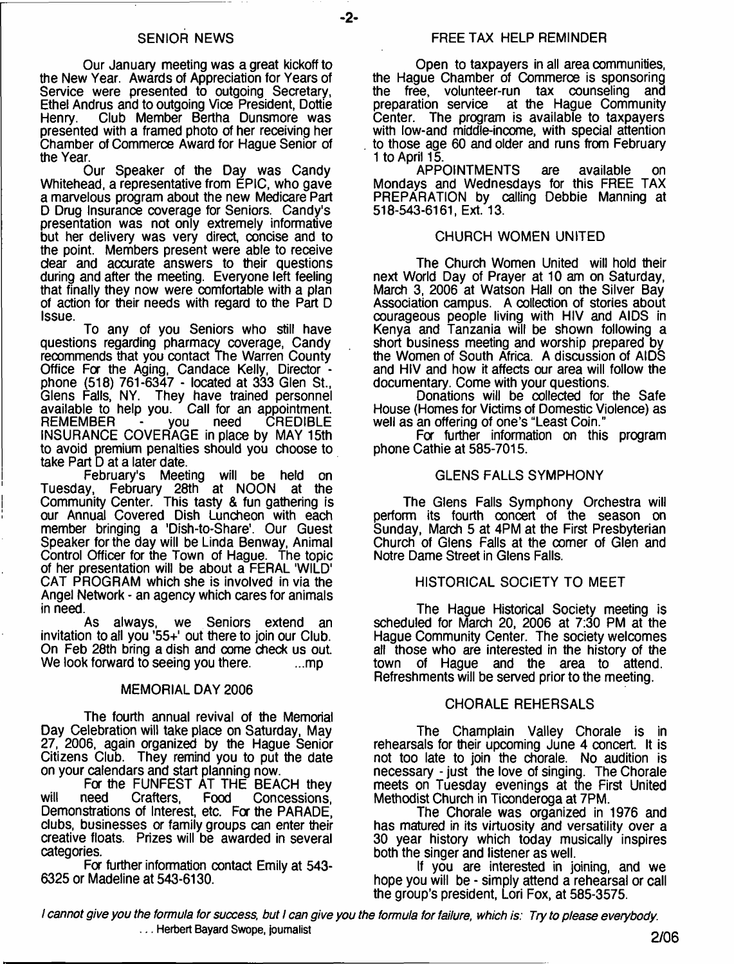### SENIOR NEWS

Our January meeting was a great kickoff to the New Year. Awards of Appreciation for Years of Service were presented to outgoing Secretary, Ethel Andrus and to outgoing Vice President, Dottie Club Member Bertha Dunsmore was presented with a framed photo of her receiving her Chamber of Commerce Award for Hague Senior of the Year.

Our Speaker of the Day was Candy Whitehead, a representative from EPIC, who gave a marvelous program about the new Medicare Part D Drug Insurance coverage for Seniors. Candy's presentation was not only extremely informative but her delivery was very direct, concise and to the point. Members present were able to receive dear and accurate answers to their questions during and after the meeting. Everyone left feeling that finally they now were comfortable with a plan of action for their needs with regard to the Part D Issue.

To any of you Seniors who still have questions regarding pharmacy coverage, Candy recommends that you contact The Warren County Office For the Aging, Candace Kelly, Director phone (518) 761-6347 - located at 333 Glen St., Glens Falls, NY. They have trained personnel available to help you. Call for an appointment. REMEMBER - you need CREDIBLE INSURANCE COVERAGE in place by MAY 15th to avoid premium penalties should you choose to take Part D at a later date.

February's Meeting will be held on Tuesday, February 28th at NOON at the Community Center. This tasty & fun gathering is our Annual Covered Dish Luncheon with each member bringing a 'Dish-to-Share'. Our Guest Speaker for the day will be Linda Benway, Animal Control Officer for the Town of Hague. The topic of her presentation will be about a FERAL 'WILD' CAT PROGRAM which she is involved in via the Angel Network - an agency which cares for animals in need.

As always, we Seniors extend an invitation to all you ' $55+$ ' out there to join our Club. On Feb 28th bring a dish and come check us out. We look forward to seeing you there. ...mp

### MEMORIAL DAY 2006

The fourth annual revival of the Memorial Day Celebration will take place on Saturday, May 27, 2006, again organized by the Hague Senior Citizens Club. They remind you to put the date on your calendars and start planning now.

For the FUNFEST AT THE BEACH they will need Crafters, Food Concessions, Demonstrations of Interest, etc. For the PARADE, clubs, businesses or family groups can enter their creative floats. Prizes will be awarded in several categories.

Fa further information contact Emily at 543- 6325 or Madeline at 543-6130.

### FREE TAX HELP REMINDER

Open to taxpayers in all area communities, the Hague Chamber of Commerce is sponsoring the free, volunteer-run tax counseling and<br>preparation service at the Hague Community at the Hague Community Center. The program is available to taxpayers with low-and middle-income, with special attention to those age 60 and older and runs from February 1 to April 15.

APPOINTMENTS are available on Mondays and Wednesdays for this FREE TAX PREPARATION by calling Debbie Manning at 518-543-6161, Ext. 13.

### CHURCH WOMEN UNITED

The Church Women United will hold their next World Day of Prayer at 10 am on Saturday, March 3, 2006 at Watson Hall on the Silver Bay Association campus. A collection of stories about courageous people living with HIV and AIDS in Kenya and Tanzania will be shown following a short business meeting and worship prepared by the Women of South Africa. A discussion of AIDS and HIV and how it affects our area will follow the documentary. Come with your questions.

Donations will be collected for the Safe House (Homes for Victims of Domestic Violence) as well as an offering of one's "Least Coin."

For further information on this program phone Cathie at 585-7015.

### GLENS FALLS SYMPHONY

The Glens Falls Symphony Orchestra will perform its fourth concert of the season on Sunday, March 5 at 4PM at the First Presbyterian Church of Glens Falls at the comer of Glen and Notre Dame Street in Glens Falls.

### HISTORICAL SOCIETY TO MEET

The Hague Historical Society meeting is scheduled for March 20, 2006 at 7:30 PM at the Hague Community Center. The society welcomes all those who are interested in the history of the town of Hague and the area to attend. Refreshments will be served prior to the meeting.

### CHORALE REHERSALS

The Champlain Valley Chorale is in rehearsals for their upcoming June 4 concert. It is not too late to join the chorale. No audition is necessary - just the love of singing. The Chorale meets on Tuesday evenings at the First United Methodist Church in Ticonderoga at 7PM.

The Chorale was organized in 1976 and has matured in its virtuosity and versatility over a 30 year history which today musically inspires both the singer and listener as well.

If you are interested in joining, and we hope you will be - simply attend a rehearsal or call the group's president, Lori Fox, at 585-3575.

*I cannot give you the formula for success, but i can give you the formula for failure, which is: Try to please everybody.* **... Herbert Bayard Swope, journalist 0**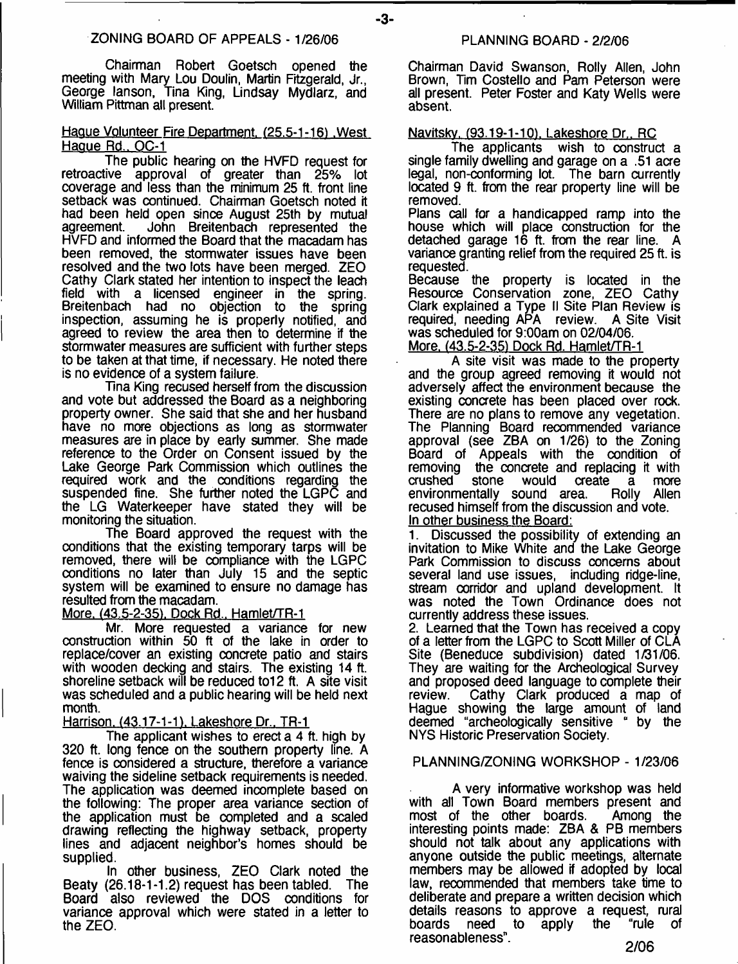Chairman Robert Goetsch opened the meeting with Mary Lou Doulin, Martin Fitzgerald, Jr., George lanson, Tina King, Lindsay Mydlarz, and William Pittman all present.

### Hague Volunteer Fire Department. (25.5-1-16) .West Haque Rd., OC-1

The public hearing on the HVFD request for retroactive approval of greater than 25% lot coverage and less than the minimum 25 ft. front line setback was continued. Chairman Goetsch noted it had been held open since August 25th by mutual John Breitenbach represented the HVFD and informed the Board that the macadam has been removed, the stormwater issues have been resolved and the two lots have been merged. ZEO Cathy Clark stated her intention to inspect the leach field with a licensed engineer in the spring. Breitenbach had no objection to the spring inspection, assuming he is properly notified, and agreed to review the area then to determine if the stormwater measures are sufficient with further steps to be taken at that time, if necessary. He noted there is no evidence of a system failure.

Tina King recused herself from the discussion and vote but addressed the Board as a neighboring property owner. She said that she and her husband have no more objections as long as stormwater measures are in place by early summer. She made reference to the Order on Consent issued by the Lake George Park Commission which outlines the required work and the conditions regarding the suspended fine. She further noted the LGPC and the LG Waterkeeper have stated they will be monitoring the situation.

The Board approved the request with the conditions that the existing temporary tarps will be removed, there will be compliance with the LGPC conditions no later than July 15 and the septic system will be examined to ensure no damage has resulted from the macadam.

### More. (43.5-2-35), Dock Rd., Hamlet/TR-1

Mr. More requested a variance for new construction within 50 ft of the lake in order to replace/cover an existing concrete patio and stairs with wooden decking and stairs. The existing 14 ft. shoreline setback will be reduced to12 ft. A site visit was scheduled and a public hearing will be held next month.

Harrison. (43.17-1-1). Lakeshore Dr., TR-1

The applicant wishes to erect a 4 ft. high by 320 ft. long fence on the southern property line. A fence is considered a structure, therefore a variance waiving the sideline setback requirements is needed. The application was deemed incomplete based on the following: The proper area variance section of the application must be completed and a scaled drawing reflecting the highway setback, property lines and adjacent neighbor's homes should be supplied.

In other business, ZEO Clark noted the Beaty (26.18-1-1.2) request has been tabled. The Board also reviewed the DOS conditions for variance approval which were stated in a letter to the ZEO.

- **3**-

Chairman David Swanson, Roily Allen, John Brown, Tim Costello and Pam Peterson were all present. Peter Foster and Katy Wells were absent.

### Navitskv. (93.19-1-10). Lakeshore Dr.. RC

The applicants wish to construct a single family dwelling and garage on a .51 acre legal, non-conforming lot. The barn currently located 9 ft. from the rear property line will be removed.

Plans call for a handicapped ramp into the house which will place construction for the detached garage 16 ft. from the rear line. A variance granting relief from the required 25 ft. is requested.

Because the property is located in the Resource Conservation zone, ZEO Cathy Clark explained a Type li Site Plan Review is required, needing APA review. A Site Visit was scheduled for 9:00am on 02/04/06.

More. (43.5-2-35) Dock Rd. Hamlet/TR-1

A site visit was made to the property and the group agreed removing it would not adversely affect the environment because the existing concrete has been placed over rock. There are no plans to remove any vegetation. The Planning Board recommended variance approval (see ZBA on 1/26) to the Zoning Board of Appeals with the condition of removing the concrete and replacing it with removing the concrete and replacing it with crushed stone would create a more would create a more<br>sound area. Rolly Allen environmentally sound area. recused himself from the discussion and vote. In other business the Board:

1. Discussed the possibility of extending an invitation to Mike White and the Lake George Park Commission to discuss concerns about several land use issues, including ridge-line, stream corridor and upland development. It was noted the Town Ordinance does not currently address these issues.

2. Learned that the Town has received a copy of a letter from the LGPC to Scott Miller of CLA Site (Beneduce subdivision) dated 1/31/06. They are waiting for the Archeological Survey and proposed deed language to complete their<br>review. Cathy Clark produced a map of Cathy Clark produced a map of Hague showing the large amount of land deemed "archeologically sensitive " by the NYS Historic Preservation Society.

### PLANNING/ZONING WORKSHOP - 1/23/06

A very informative workshop was held with all Town Board members present and most of the other boards. Among the interesting points made: ZBA & PB members should not talk about any applications with anyone outside the public meetings, alternate members may be allowed if adopted by local law, recommended that members take time to deliberate and prepare a written decision which details reasons to approve a request, rural<br>boards need to apply the "rule of boards need to apply the "rule of reasonableness".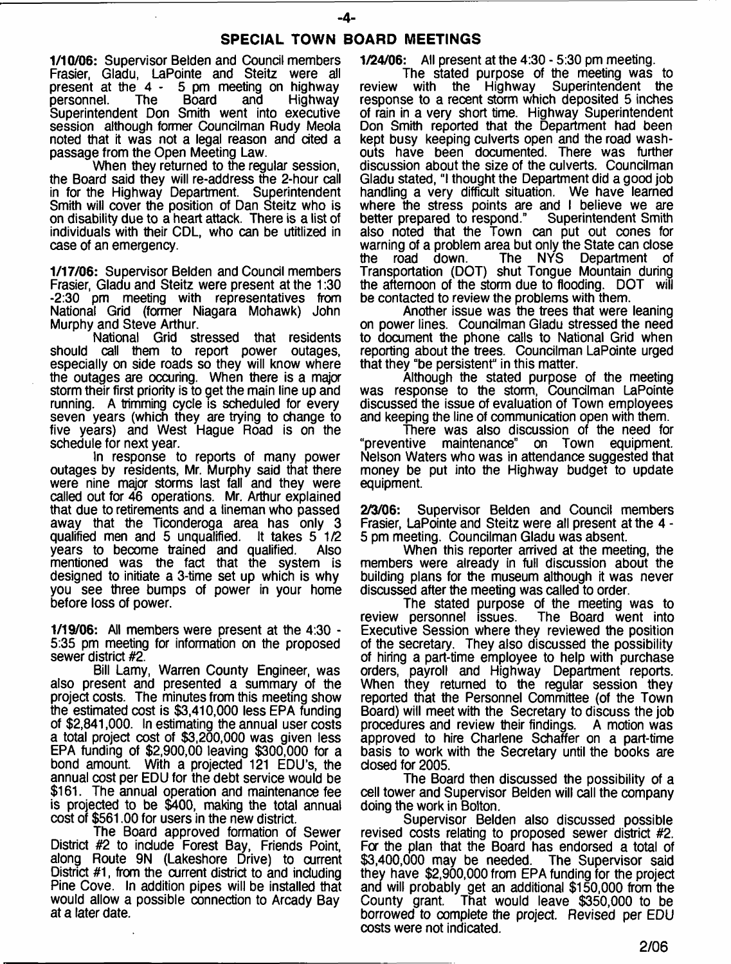- **4**-

1/10/06: Supervisor Belden and Council members Frasier, Gladu, LaPointe and Steitz were all 5 pm meeting on highway<br>Board and Highway personnel. The Board and Highway Superintendent Don Smith went into executive session although former Councilman Rudy Meola noted that it was not a legal reason and cited a passage from the Open Meeting Law.

When they returned to the regular session, the Board said they will re-address the 2-hour call in for the Highway Department. Superintendent Smith will cover the position of Dan Steitz who is on disability due to a heart attack. There is a list of individuals with their CDL, who can be utitlized in case of an emergency.

1/17/06: Supervisor Belden and Council members Frasier, Gladu and Steitz were present at the 1:30 -2:30 pm meeting with representatives from National Grid (former Niagara Mohawk) John Murphy and Steve Arthur.

National Grid stressed that residents<br>should call them to report power outages. call them to report power outages, especially on side roads so they will know where the outages are occuring. When there is a major storm their first priority is to get the main line up and running. A trimming cycle is scheduled for every seven years (which they are trying to change to five years) and West Hague Road is on the schedule for next year.

In response to reports of many power outages by residents, Mr. Murphy said that there were nine major storms last fall and they were called out for 46 operations. Mr. Arthur explained that due to retirements and a lineman who passed away that the Ticonderoga area has only 3 qualified men and 5 unqualified. It takes 5 1/2 years to become trained and qualified. Also mentioned was the fact that the system is designed to initiate a 3-time set up which is why you see three bumps of power in your home before loss of power.

1/19/06: All members were present at the 4:30 - 5:35 pm meeting for information on the proposed sewer district #2.

Bill Lamy, Warren County Engineer, was also present and presented a summary of the project costs. The minutes from this meeting show the estimated cost is \$3,410,000 less EPA funding of \$2,841,000. In estimating the annual user costs a total project cost of \$3,200,000 was given less EPA funding of \$2,900,00 leaving \$300,000 for a bond amount. With a projected 121 EDU's, the annual cost per EDU for the debt service would be \$161. The annual operation and maintenance fee is projected to be \$400, making the total annual cost of \$561.00 for users in the new district.

The Board approved formation of Sewer District #2 to include Forest Bay, Friends Point, along Route 9N (Lakeshore Drive) to current District #1, from the current district to and including Pine Cove. In addition pipes will be installed that would allow a possible connection to Arcady Bay at a later date.

1/24/06: All present at the 4:30 - 5:30 pm meeting.

The stated purpose of the meeting was to<br>with the Highway Superintendent the review with the Highway Superintendent the response to a recent storm which deposited 5 inches of rain in a very short time. Highway Superintendent Don Smith reported that the Department had been kept busy keeping culverts open and the road washouts have been documented. There was further discussion about the size of the culverts. Councilman Gladu stated, "I thought the Department did a good job handling a very difficult situation. We have learned where the stress points are and I believe we are<br>better prepared to respond." Superintendent Smith better prepared to respond." also noted that the Town can put out cones for warning of a problem area but only the State can close<br>the road down. The NYS Department of the road down. The NYS Department of Transportation (DOT) shut Tongue Mountain during the afternoon of the storm due to flooding. DOT will be contacted to review the problems with them.

Another issue was the trees that were leaning on power lines. Councilman Gladu stressed the need to document the phone calls to National Grid when reporting about the trees. Councilman LaPointe urged that they "be persistent" in this matter.

Although the stated purpose of the meeting was response to the storm, Councilman LaPointe discussed the issue of evaluation of Town employees and keeping the line of communication open with them.

There was also discussion of the need for<br>tive maintenance" on Town equipment. "preventive maintenance" Nelson Waters who was in attendance suggested that money be put into the Highway budget to update equipment.

2/3/06: Supervisor Belden and Council members Frasier, LaPointe and Steitz were all present at the 4 - 5 pm meeting. Councilman Gladu was absent.

When this reporter arrived at the meeting, the members were already in full discussion about the building plans for the museum although it was never discussed after the meeting was called to order.

The stated purpose of the meeting was to review personnel issues. The Board went into Executive Session where they reviewed the position of the secretary. They also discussed the possibility of hiring a part-time employee to help with purchase orders, payroll and Highway Department reports. When they returned to the regular session they reported that the Personnel Committee (of the Town Board) will meet with the Secretary to discuss the job procedures and review their findings. A motion was approved to hire Charlene Schaffer on a part-time basis to work with the Secretary until the books are closed for 2005.

The Board then discussed the possibility of a cell tower and Supervisor Belden will call the company doing the work in Bolton.

Supervisor Belden also discussed possible revised costs relating to proposed sewer district #2. Fa the plan that the Board has endorsed a total of \$3,400,000 may be needed. The Supervisor said they have \$2,900,000 from EPA funding for the project and will probably get an additional \$150,000 from the That would leave \$350,000 to be borrowed to complete the project. Revised per EDU costs were not indicated.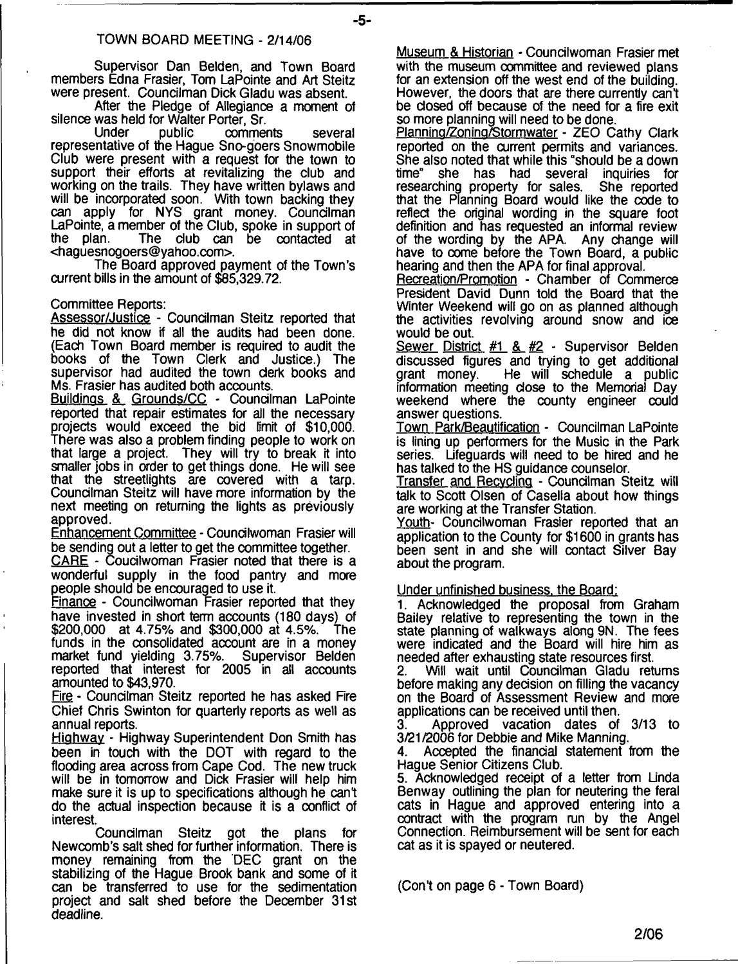### TOWN BOARD MEETING - 2/14/06

Supervisor Dan Belden, and Town Board members Edna Frasier, Tom LaPointe and Art Steitz were present. Councilman Dick Gladu was absent.

After the Pledge of Allegiance a moment of silence was held for Walter Porter, Sr.

comments several representative of the Hague Sno-goers Snowmobile Club were present with a request for the town to support their efforts at revitalizing the dub and working on the trails. They have written bylaws and will be incorporated soon. With town backing they can apply for NYS grant money. Councilman LaPointe, a member of the Club, spoke in support of the plan. The dub can be contacted at <[haguesnogoers@yahoo.com>](mailto:haguesnogoers@yahoo.com).

The Board approved payment of the Town's current bills in the amount of \$85,329.72.

### Committee Reports:

Assessor/Justice - Coundlman Steitz reported that he did not know if all the audits had been done. (Each Town Board member is required to audit the books of the Town Clerk and Justice.) The supervisor had audited the town derk books and Ms. Frasier has audited both accounts.

Buildings & Grounds/CC - Coundiman LaPointe reported that repair estimates for all the necessary projects would exceed the bid limit of \$10,000. There was also a problem finding people to work on that large a project. They will try to break it into smaller jobs in order to get things done. He will see that the streetlights are covered with a tarp. Coundlman Steitz will have more information by the next meeting on returning the lights as previously approved.

Enhancement Committee - Coundlwoman Frasier will be sending out a letter to get the committee together.

CARE - Coudlwoman Frasier noted that there is a wonderful supply in the food pantry and more people should be encouraged to use it.

Finance - Councilwoman Frasier reported that they have invested in short term accounts (180 days) of \$200,000 at 4.75% and \$300,000 at 4.5%. The funds in the consolidated account are in a money market fund yielding 3.75%. Supervisor Belden reported that interest for 2005 in all accounts amounted to \$43,970.

Fire - Coundlman Steitz reported he has asked Fire Chief Chris Swinton for quarterly reports as well as annual reports.

Highway - Highway Superintendent Don Smith has been in touch with the DOT with regard to the flooding area across from Cape Cod. The new truck will be in tomorrow and Dick Frasier will help him make sure it is up to specifications although he can't do the actual inspection because it is a conflict of interest.

Coundlman Steitz got the plans for Newcomb's salt shed for further information. There is money remaining from the DEC grant on the stabilizing of the Hague Brook bank and some of it can be transferred to use for the sedimentation project and salt shed before the December 31st deadline.

Museum & Historian - Councilwoman Frasier met with the museum committee and reviewed plans for an extension off the west end of the building. However, the doors that are there currently can't be dosed off because of the need for a fire exit so more planning will need to be done.

Planning/Zoning/Stormwater - ZEO Cathy Clark reported on the current permits and variances. She also noted that while this "should be a down<br>time" she has had several inquiries for she has had several inquiries for<br>ching property for sales. She reported researching property for sales. that the Planning Board would like the code to reflect the original wording in the square foot definition and has requested an informal review of the wording by the APA. Any change will have to come before the Town Board, a public hearing and then the APA for final approval.

Recreation/Promotion - Chamber of Commerce President David Dunn told the Board that the Winter Weekend will go on as planned although the activities revolving around snow and ioe would be out.

Sewer District #1 & #2 - Supervisor Belden discussed figures and trying to get additional He will schedule a public information meeting dose to the Memorial Day weekend where the county engineer could answer questions.

Town Park/Beautification - Councilman LaPointe is lining up performers for the Music in the Park series. Lifeguards will need to be hired and he has talked to the HS guidance counselor.

Transfer and Recycling - Councilman Steitz will talk to Scott Olsen of Casella about how things are working at the Transfer Station.

Youth- Councilwoman Frasier reported that an application to the County for \$1600 in grants has been sent in and she will contact Silver Bay about the program.

### Under unfinished business, the Board:

1. Acknowledged the proposal from Graham Bailey relative to representing the town in the state planning of walkways along 9N. The fees were indicated and the Board will hire him as needed after exhausting state resources first.

2. Will wait until Councilman Gladu returns before making any dedsion on filling the vacancy on the Board of Assessment Review and more applications can be received until then.

3. Approved vacation dates of 3/13 to 3/21/2006 for Debbie and Mike Manning.

Accepted the financial statement from the Hague Senior Citizens Club.

5. Acknowledged receipt of a letter from Linda Benway outlining the plan for neutering the feral cats in Hague and approved entering into a contract with the program run by the Angel Connection. Reimbursement will be sent for each cat as it is spayed or neutered.

(Con't on page 6 - Town Board)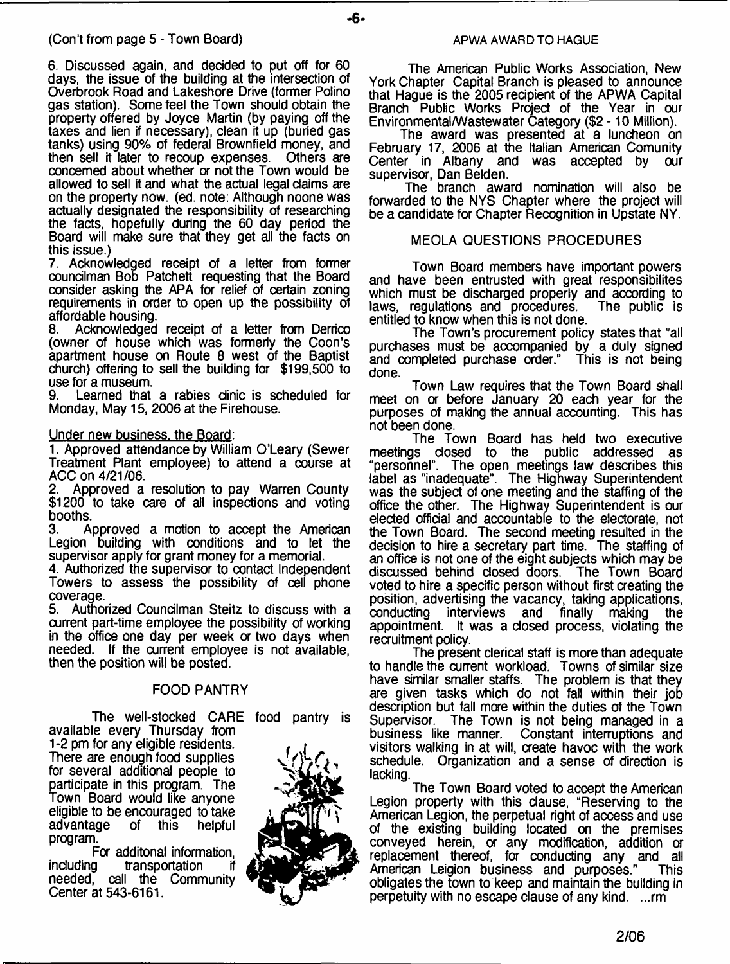6. Discussed again, and decided to put off for 60 days, the issue of the building at the intersection of Overbrook Road and Lakeshore Drive (former Polino gas station). Some feel the Town should obtain the property offered by Joyce Martin (by paying off the taxes and lien if necessary), clean it up (buried gas tanks) using 90% of federal Brownfield money, and<br>then sell it later to recoup expenses. Others are then sell it later to recoup expenses. concerned about whether or not the Town would be allowed to sell it and what the actual legal claims are on the property now. (ed. note: Although noone was actually designated the responsibility of researching the facts, hopefully during the 60 day period the Board will make sure that they get all the facts on this issue.)

7. Acknowledged receipt of a letter from former councilman Bob Patchett requesting that the Board consider asking the APA for relief of certain zoning requirements in order to open up the possibility of affordable housing.<br>8. Acknowledged

Acknowledged receipt of a letter from Derrico (owner of house which was formerly the Coon's apartment house on Route 8 west of the Baptist church) offering to sell the building for \$199,500 to use for a museum.<br>9 **Learned** that

Learned that a rabies dinic is scheduled for Monday, May 15, 2006 at the Firehouse.

### Under new business, the Board:

1. Approved attendance by William O'Leary (Sewer Treatment Plant employee) to attend a course at ACC on 4/21/06.<br>2. Approved a

2. Approved a resolution to pay Warren County \$1200 to take care of all inspections and voting booths.

3. Approved a motion to accept the American Legion building with conditions and to let the supervisor apply for grant money for a memorial.

4. Authorized the supervisor to contact Independent Towers to assess the possibility of cell phone coverage.<br>5. Autho

5. Authorized Councilman Steitz to discuss with a current part-time employee the possibility of working in the office one day per week or two days when needed. If the current employee is not available, then the position will be posted.

### FOOD PANTRY

The well-stocked CARE food pantry is available every Thursday from

1-2 pm for any eligible residents. There are enough food supplies for several additional people to participate in this program. The Town Board would like anyone eligible to be encouraged to take<br>advantage of this helpful advantage of this helpful program.

Fa additonal information, including transportation needed, call the Community Center at 543-6161.



### **APWA AWARD TO HAGUE**

- **6**-

The American Public Works Association, New York Chapter Capital Branch is pleased to announce that Hague is the 2005 recipient of the APWA Capital Branch Public Works Project of the Year in our Environmental/Wastewater Category (\$2 - 10 Million).

The award was presented at a luncheon on February 17, 2006 at the Italian American Comunity Center in Albany and was accepted by our supervisor, Dan Belden.

The branch award nomination will also be forwarded to the NYS Chapter where the project will be a candidate for Chapter Recognition in Upstate NY.

### MEOLA QUESTIONS PROCEDURES

Town Board members have important powers and have been entrusted with great responsibilites which must be discharged properly and according to laws, regulations and procedures. The public is laws, regulations and procedures. entitled to know when this is not done.

The Town's procurement policy states that "all purchases must be accompanied by a duly signed and completed purchase order." This is not being done.

Town Law requires that the Town Board shall meet on or before January 20 each year for the purposes of making the annual accounting. This has not been done.

The Town Board has held two executive<br>meetings closed to the public addressed as dosed to the public addressed as "personnel". The open meetings law describes this label as "inadequate". The Highway Superintendent was the subject of one meeting and the staffing of the office the other. The Highway Superintendent is our elected official and accountable to the electorate, not the Town Board. The second meeting resulted in the decision to hire a secretary part time. The staffing of an office is not one of the eight subjects which may be discussed behind closed doors. The Town Board voted to hire a specific person without first creating the position, advertising the vacancy, taking applications, interviews and finally making the appointment. It was a closed process, violating the recruitment policy.

The present clerical staff is more than adequate to handle the current workload. Towns of similar size have similar smaller staffs. The problem is that they are given tasks which do not fall within their job description but fall mae within the duties of the Town Supervisor. The Town is not being managed in a business like manner. Constant interruptions and Constant interruptions and visitors walking in at will, create havoc with the work schedule. Organization and a sense of direction is lacking.

The Town Board voted to accept the American Legion property with this clause, "Reserving to the American Legion, the perpetual right of access and use of the existing building located on the premises conveyed herein, or any modification, addition or replacement thereof, for conducting any and all American Leigion business and purposes." This obligates the town to keep and maintain the building in perpetuity with no escape clause of any kind. ...rm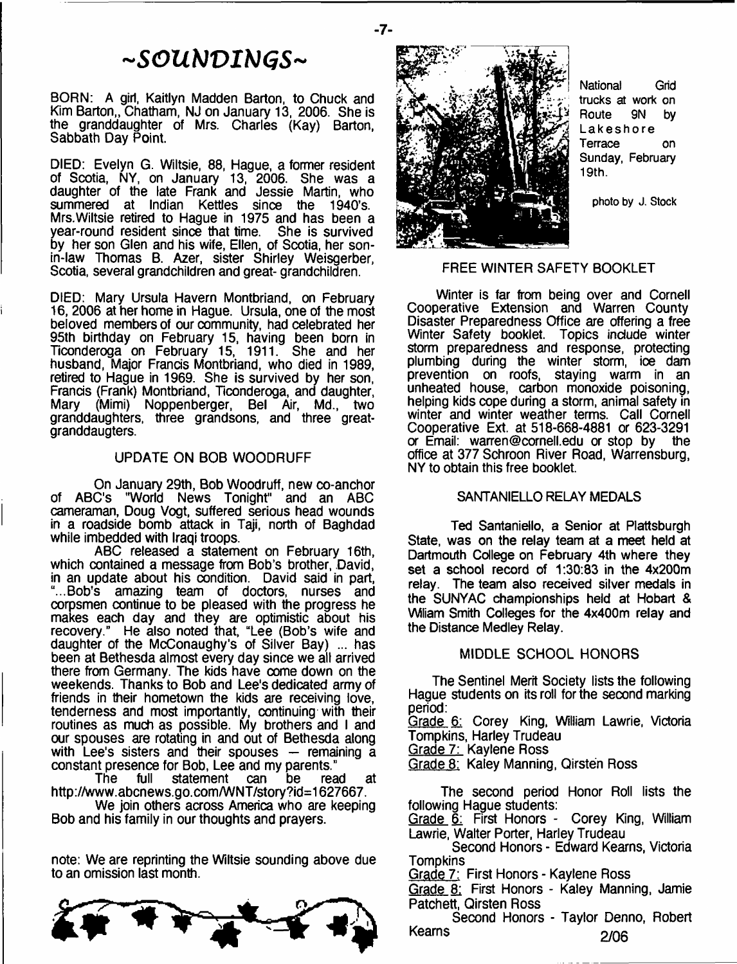# ~SOUNDINGS~

BORN: A girl, Kaitlyn Madden Barton, to Chuck and Kim Barton,, Chatham, NJ on January 13, 2006. She is the granddaughter of Mrs. Charles (Kay) Barton, Sabbath Day Point.

DIED: Evelyn G. Wiltsie, 88, Hague, a former resident of Scotia, NY, on January 13, 2006. She was a daughter of the late Frank and Jessie Martin, who summered at Indian Kettles since the 1940's. Mrs.Wiltsie retired to Hague in 1975 and has been a year-round resident since that time. She is survived by her son Glen and his wife, Ellen, of Scotia, her sonin-law Thomas B. Azer, sister Shirley Weisgerber, Scotia, several grandchildren and great- grandchildren.

DIED: Mary Ursula Havern Montbriand, on February 16,2006 at her home in Hague. Ursula, one of the most beloved members of our community, had celebrated her 95th birthday on February 15, having been born in Ticonderoga on February 15, 1911. She and her husband, Major Francis Montbriand, who died in 1989, retired to Hague in 1969. She is survived by her son, Francis (Frank) Montbriand, Ticonderoga, and daughter, Mary (Mimi) Noppenberger, Bel Air, Md., two granddaughters, three grandsons, and three greatgranddaugters.

### UPDATE ON BOB WOODRUFF

On January 29th, Bob Woodruff, new co-anchor of ABC's "World News Tonight" and an ABC cameraman, Doug Vogt, suffered serious head wounds in a roadside bomb attack in Taji, north of Baghdad while imbedded with Iraqi troops.

ABC released a statement on February 16th, which contained a message from Bob's brother, David, in an update about his condition. David said in part, "...Bob's amazing team of doctors, nurses and corpsmen continue to be pleased with the progress he makes each day and they are optimistic about his recovery." He also noted that, "Lee (Bob's wife and daughter of the McConaughy's of Silver Bay) ... has been at Bethesda almost every day since we all arrived there from Germany. The kids have come down on the weekends. Thanks to Bob and Lee's dedicated army of friends in their hometown the kids are receiving love, tenderness and most importantly, continuing with their routines as much as possible. My brothers and I and our spouses are rotating in and out of Bethesda along with Lee's sisters and their spouses — remaining a constant presence for Bob, Lee and my parents."

The full statement can be read at http :/[/www.abcnews.go.com/WNT/story?id=1627667.](http://www.abcnews.go.com/WNT/story?id=1627667)

We join others across America who are keeping Bob and his family in our thoughts and prayers.

note: We are reprinting the Wiltsie sounding above due to an omission last month.





**National Grid trucks at work on Route 9N by Lakeshore Terrace on Sunday, February 19th.**

**photo by J. Stock**

### FREE WINTER SAFETY BOOKLET

Winter is far from being over and Cornell Cooperative Extension and Warren County Disaster Preparedness Office are offering a free Winter Safety booklet. Topics include winter storm preparedness and response, protecting plumbing during the winter storm, ioe dam prevention on roofs, staying warm in an unheated house, carbon monoxide poisoning, helping kids cope during a storm, animal safety in winter and winter weather terms. Call Cornell Cooperative Ext. at 518-668-4881 or 623-3291 or Email: [warren@cornell.edu](mailto:warren@cornell.edu) or stop by the office at 377 Schroon River Road, Warrensburg, NY to obtain this free booklet.

### SANTANIELLO RELAY MEDALS

Ted Santaniello, a Senior at Plattsburgh State, was on the relay team at a meet held at Dartmouth College on February 4th where they set a school record of 1:30:83 in the 4x200m relay. The team also received silver medals in the SUNYAC championships held at Hobart & VWiam Smith Colleges for the 4x400m relay and the Distance Medley Relay.

### MIDDLE SCHOOL HONORS

The Sentinel Merit Society lists the following Hague students on its roll for the second marking period:

Grade 6: Corey King, William Lawrie, Victoria Tompkins, Harley Trudeau

Grade 7: Kaylene Ross

Grade 8: Kaley Manning, Qirsten Ross

The second period Honor Roll lists the following Hague students:

Grade 6: First Honors - Corey King, William Lawrie, Walter Porter, Harley Trudeau

Second Honors - Edward Kearns, Victoria Tompkins

Grade 7: First Honors - Kaylene Ross

Grade 8: First Honors - Kaley Manning, Jamie Patchett, Qirsten Ross

Second Honors - Taylor Denno, Robert Kearns 2/06

- **7**-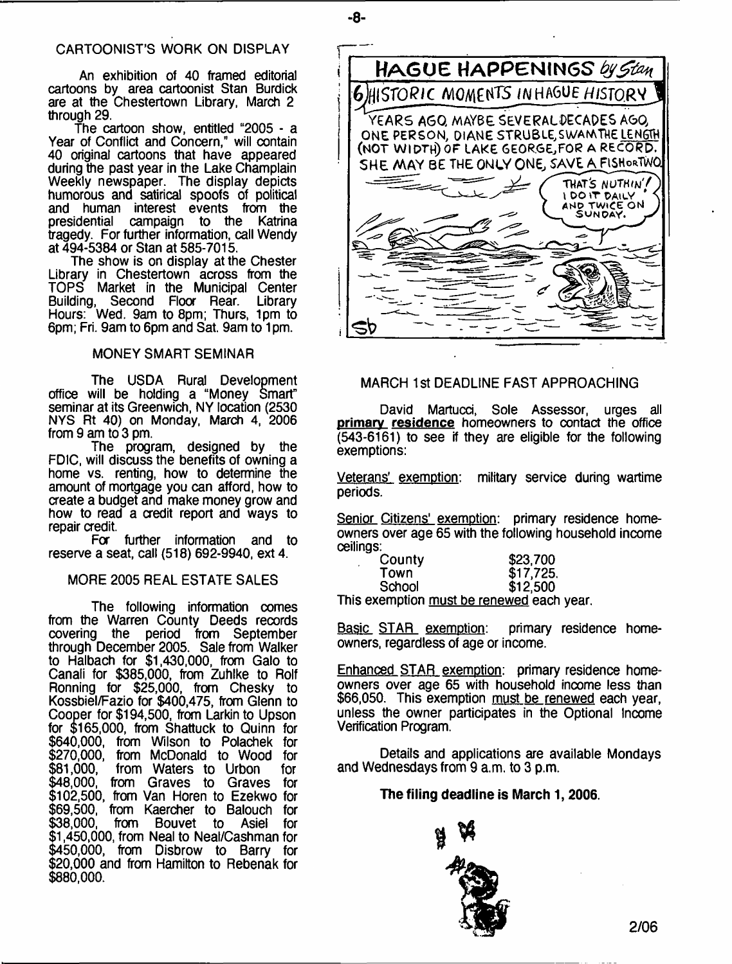### CARTOONIST'S WORK ON DISPLAY

An exhibition of 40 framed editorial cartoons by area cartoonist Stan Burdick are at the Chestertown Library, March 2 through 29.

The cartoon show, entitled "2005 - a Year of Conflict and Concern," will contain 40 original cartoons that have appeared during the past year in the Lake Champlain Weekly newspaper. The display depicts humorous and satirical spoofs of political and human interest events from the presidential campaign to the Katrina tragedy. For further information, call Wendy at 494-5384 or Stan at 585-7015.

The show is on display at the Chester Library in Chestertown across from the TOPS Market in the Municipal Center Building, Second Floor Rear. Library Hours: Wed. 9am to 8pm; Thurs, 1pm to 6pm; Fri. 9am to 6pm and Sat. 9am to 1 pm.

### MONEY SMART SEMINAR

The USDA Rural Development office will be holding a "Money Smart" seminar at its Greenwich, NY location (2530 NYS Rt 40) on Monday, March 4, 2006 from 9 am to 3 pm.

The program, designed by the FDIC, will discuss the benefits of owning a home vs. renting, how to determine the amount of mortgage you can afford, how to create a budget and make money grow and how to read a credit report and ways to repair credit.<br>For

further information and to reserve a seat, call (518) 692-9940, ext 4.

### MORE 2005 REAL ESTATE SALES

The following information comes from the Warren County Deeds records covering the period from September through December 2005. Sale from Walker to Halbach for \$1,430,000, from Galo to Canali for \$385,000, from Zuhlke to Rolf Ronning for \$25,000, from Chesky to Kossbiel/Fazio for \$400,475, from Glenn to Cooper for \$194,500, from Larkin to Upson for \$165,000, from Shattuck to Quinn for \$640,000, from Wilson to Polachek for \$270,000, from McDonald to Wood **for** \$81,000, from Waters to Urbon \$48,000, from Graves to Graves for \$102,500, from Van Horen to Ezekwo for \$69,500, from Kaercher to Balouch for \$38,000, from Bouvet to Asiel for \$1,450,000, from Neal to Neal/Cashman for \$450,000, from Disbrow to Barry for \$20,000 and from Hamilton to Rebenak for \$880,000. for



- **8**-

### MARCH 1st DEADLINE FAST APPROACHING

David Martucci, Sole Assessor, urges all primary residence homeowners to contact the office (543-6161) to see if they are eligible for the following exemptions:

Veterans' exemption: periods. military service during wartime

Senior Citizens' exemption: primary residence homeowners over age 65 with the following household income ceilings:

| County | \$23,700                              |
|--------|---------------------------------------|
| Town   | \$17,725.                             |
| School | \$12,500                              |
|        | hie avamntion muet ha ranawad aach va |

This exemption must be renewed each year.

Basic STAR exemption: primary residence homeowners, regardless of age or income.

Enhanced STAR exemption: primary residence homeowners over age 65 with household income less than \$66,050. This exemption must be renewed each year, unless the owner participates in the Optional Income Verification Program.

Details and applications are available Mondays and Wednesdays from 9 a.m. to 3 p.m.

### **The filing deadline is March 1,2006.**

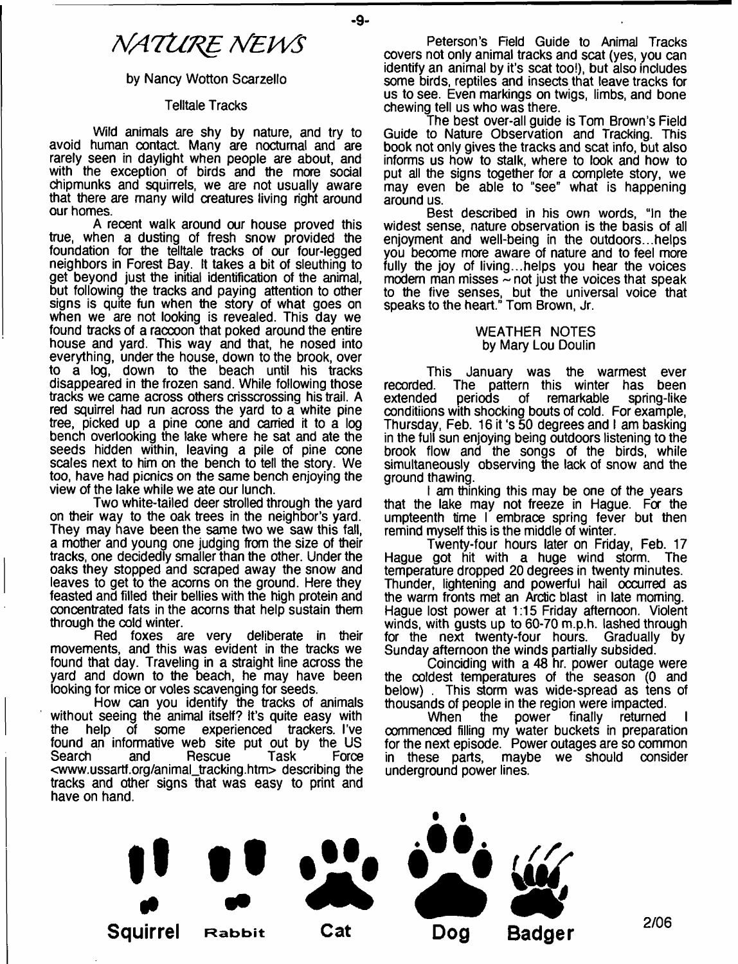# *NATURE NEWS*

### by Nancy Wotton Scarzello

### Telltale Tracks

Wild animals are shy by nature, and try to avoid human contact. Many are nocturnal and are rarely seen in daylight when people are about, and with the exception of birds and the more social chipmunks and squirrels, we are not usually aware that there are many wild creatures living right around our homes.

A recent walk around our house proved this true, when a dusting of fresh snow provided the foundation for the telltale tracks of our four-legged neighbors in Forest Bay. It takes a bit of sleuthing to get beyond just the initial identification of the animal, but following the tracks and paying attention to other signs is quite fun when the story of what goes on when we are not looking is revealed. This day we found tracks of a raccoon that poked around the entire house and yard. This way and that, he nosed into everything, under the house, down to the brook, over to a log, down to the beach until his tracks disappeared in the frozen sand. While following those tracks we came across others crisscrossing his trail. A red squirrel had run across the yard to a white pine tree, picked up a pine cone and carried it to a log bench overlooking the lake where he sat and ate the seeds hidden within, leaving a pile of pine cone scales next to him on the bench to tell the story. We too, have had picnics on the same bench enjoying the view of the lake while we ate our lunch.

Two white-tailed deer strolled through the yard on their way to the oak trees in the neighbor's yard. They may have been the same two we saw this fall, a mother and young one judging from the size of their tracks, one decidedly smaller than the other. Under the oaks they stopped and scraped away the snow and leaves to get to the acorns on the ground. Here they feasted and filled their bellies with the high protein and concentrated fats in the acorns that help sustain them through the cold winter.

Red foxes are very deliberate in their movements, and this was evident in the tracks we found that day. Traveling in a straight line across the yard and down to the beach, he may have been looking for mice or voles scavenging for seeds.

How can you identify the tracks of animals without seeing the animal itself? It's quite easy with the help of some experienced trackers. I've found an informative web site put out by the US Search and Rescue Task Force <[www.ussartf.org/animal\\_tracking.htm>](http://www.ussartf.org/animal_tracking.htm) describing the tracks and other signs that was easy to print and have on hand.

Peterson's Field Guide to Animal Tracks covers not only animal tracks and scat (yes, you can identify an animal by it's scat tool), but also includes some birds, reptiles and insects that leave tracks for us to see. Even markings on twigs, limbs, and bone chewing tell us who was there.

The best over-all guide is Tom Brown's Field Guide to Nature Observation and Tracking. This book not only gives the tracks and scat info, but also informs us how to stalk, where to look and how to put all the signs together for a complete story, we may even be able to "see" what is happening around us.

Best described in his own words, "In the widest sense, nature observation is the basis of all enjoyment and well-being in the outdoors...helps you become more aware of nature and to feel more fully the joy of living...helps you hear the voices modern man misses  $\sim$  not just the voices that speak to the five senses, but the universal voice that speaks to the heart." Tom Brown, Jr.

### WEATHER NOTES by Mary Lou Doulin

This January was the warmest ever recorded. The pattern this winter has been extended periods of remarkable spring-like conditiions with shocking bouts of cold. For example, Thursday, Feb. 16 it's 50 degrees and I am basking in the full sun enjoying being outdoors listening to the brook flow and the songs of the birds, while simultaneously observing the lack of snow and the ground thawing.

I am thinking this may be one of the years that the lake may not freeze in Hague. For the umpteenth time I embrace spring fever but then remind myself this is the middle of winter.

Twenty-four hours later on Friday, Feb. 17 Hague got hit with a huge wind storm. The temperature dropped 20 degrees in twenty minutes. Thunder, lightening and powerful hail occurred as the warm fronts met an Arctic blast in late morning. Hague lost power at 1:15 Friday afternoon. Violent winds, with gusts up to 60-70 m.p.h. lashed through for the next twenty-four hours. Gradually by Sunday afternoon the winds partially subsided.

Coinciding with a 48 hr. power outage were the coldest temperatures of the season (0 and below) . This storm was wide-spread as tens of thousands of people in the region were impacted.

When the power finally returned commenced filling my water buckets in preparation for the next episode. Power outages are so common in these parts, maybe we should consider underground power lines.